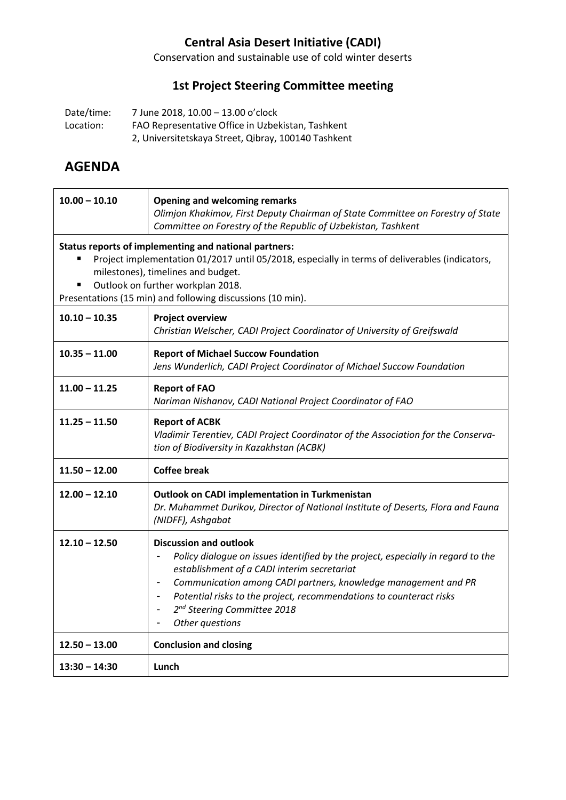# **Central Asia Desert Initiative (CADI)**

Conservation and sustainable use of cold winter deserts

### **1st Project Steering Committee meeting**

Date/time: 7 June 2018, 10.00 – 13.00 o'clock Location: FAO Representative Office in Uzbekistan, Tashkent 2, Universitetskaya Street, Qibray, 100140 Tashkent

# **AGENDA**

| $10.00 - 10.10$                                                                                                                                                                                                                                                                                       | <b>Opening and welcoming remarks</b><br>Olimjon Khakimov, First Deputy Chairman of State Committee on Forestry of State<br>Committee on Forestry of the Republic of Uzbekistan, Tashkent                                                                                                                                                                                                                                                 |  |  |  |
|-------------------------------------------------------------------------------------------------------------------------------------------------------------------------------------------------------------------------------------------------------------------------------------------------------|------------------------------------------------------------------------------------------------------------------------------------------------------------------------------------------------------------------------------------------------------------------------------------------------------------------------------------------------------------------------------------------------------------------------------------------|--|--|--|
| Status reports of implementing and national partners:<br>Project implementation 01/2017 until 05/2018, especially in terms of deliverables (indicators,<br>milestones), timelines and budget.<br>Outlook on further workplan 2018.<br>п<br>Presentations (15 min) and following discussions (10 min). |                                                                                                                                                                                                                                                                                                                                                                                                                                          |  |  |  |
| $10.10 - 10.35$                                                                                                                                                                                                                                                                                       | <b>Project overview</b><br>Christian Welscher, CADI Project Coordinator of University of Greifswald                                                                                                                                                                                                                                                                                                                                      |  |  |  |
| $10.35 - 11.00$<br><b>Report of Michael Succow Foundation</b><br>Jens Wunderlich, CADI Project Coordinator of Michael Succow Foundation                                                                                                                                                               |                                                                                                                                                                                                                                                                                                                                                                                                                                          |  |  |  |
| $11.00 - 11.25$                                                                                                                                                                                                                                                                                       | <b>Report of FAO</b><br>Nariman Nishanov, CADI National Project Coordinator of FAO                                                                                                                                                                                                                                                                                                                                                       |  |  |  |
| $11.25 - 11.50$                                                                                                                                                                                                                                                                                       | <b>Report of ACBK</b><br>Vladimir Terentiev, CADI Project Coordinator of the Association for the Conserva-<br>tion of Biodiversity in Kazakhstan (ACBK)                                                                                                                                                                                                                                                                                  |  |  |  |
| $11.50 - 12.00$                                                                                                                                                                                                                                                                                       | <b>Coffee break</b>                                                                                                                                                                                                                                                                                                                                                                                                                      |  |  |  |
| $12.00 - 12.10$                                                                                                                                                                                                                                                                                       | <b>Outlook on CADI implementation in Turkmenistan</b><br>Dr. Muhammet Durikov, Director of National Institute of Deserts, Flora and Fauna<br>(NIDFF), Ashgabat                                                                                                                                                                                                                                                                           |  |  |  |
| $12.10 - 12.50$                                                                                                                                                                                                                                                                                       | <b>Discussion and outlook</b><br>Policy dialogue on issues identified by the project, especially in regard to the<br>establishment of a CADI interim secretariat<br>Communication among CADI partners, knowledge management and PR<br>$\qquad \qquad \blacksquare$<br>Potential risks to the project, recommendations to counteract risks<br>-<br>2 <sup>nd</sup> Steering Committee 2018<br>$\overline{\phantom{a}}$<br>Other questions |  |  |  |
| $12.50 - 13.00$                                                                                                                                                                                                                                                                                       | <b>Conclusion and closing</b>                                                                                                                                                                                                                                                                                                                                                                                                            |  |  |  |
| $13:30 - 14:30$                                                                                                                                                                                                                                                                                       | Lunch                                                                                                                                                                                                                                                                                                                                                                                                                                    |  |  |  |